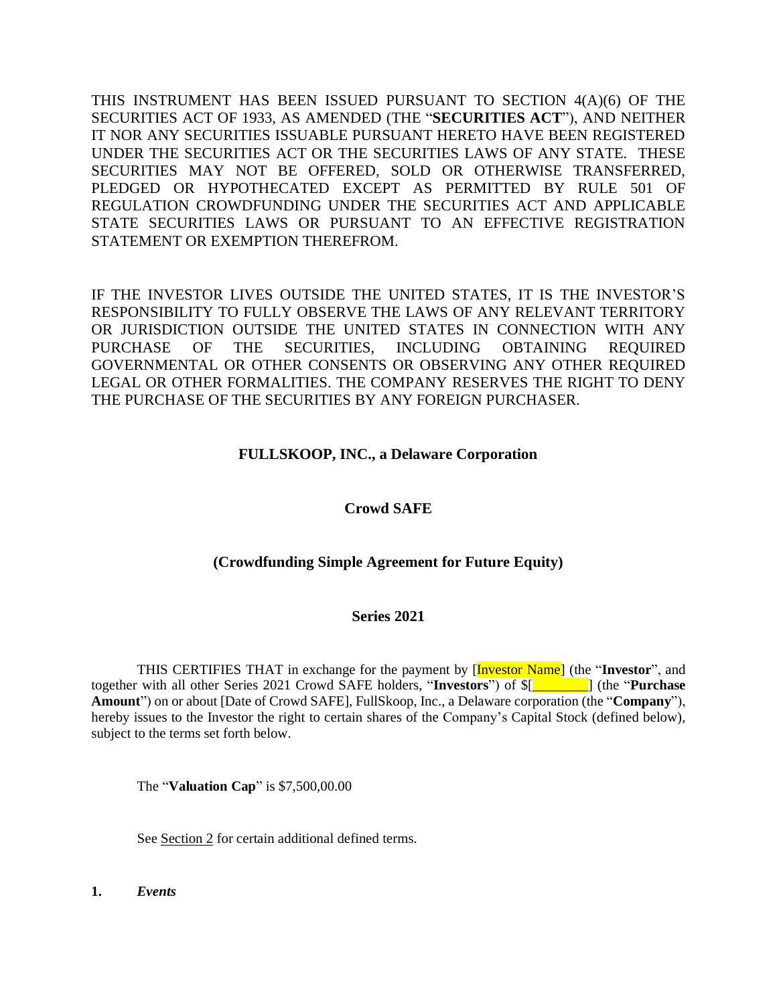THIS INSTRUMENT HAS BEEN ISSUED PURSUANT TO SECTION 4(A)(6) OF THE SECURITIES ACT OF 1933, AS AMENDED (THE "**SECURITIES ACT**"), AND NEITHER IT NOR ANY SECURITIES ISSUABLE PURSUANT HERETO HAVE BEEN REGISTERED UNDER THE SECURITIES ACT OR THE SECURITIES LAWS OF ANY STATE. THESE SECURITIES MAY NOT BE OFFERED, SOLD OR OTHERWISE TRANSFERRED, PLEDGED OR HYPOTHECATED EXCEPT AS PERMITTED BY RULE 501 OF REGULATION CROWDFUNDING UNDER THE SECURITIES ACT AND APPLICABLE STATE SECURITIES LAWS OR PURSUANT TO AN EFFECTIVE REGISTRATION STATEMENT OR EXEMPTION THEREFROM.

IF THE INVESTOR LIVES OUTSIDE THE UNITED STATES, IT IS THE INVESTOR'S RESPONSIBILITY TO FULLY OBSERVE THE LAWS OF ANY RELEVANT TERRITORY OR JURISDICTION OUTSIDE THE UNITED STATES IN CONNECTION WITH ANY PURCHASE OF THE SECURITIES, INCLUDING OBTAINING REQUIRED GOVERNMENTAL OR OTHER CONSENTS OR OBSERVING ANY OTHER REQUIRED LEGAL OR OTHER FORMALITIES. THE COMPANY RESERVES THE RIGHT TO DENY THE PURCHASE OF THE SECURITIES BY ANY FOREIGN PURCHASER.

# **FULLSKOOP, INC., a Delaware Corporation**

# **Crowd SAFE**

# **(Crowdfunding Simple Agreement for Future Equity)**

# **Series 2021**

THIS CERTIFIES THAT in exchange for the payment by [Investor Name] (the "**Investor**", and together with all other Series 2021 Crowd SAFE holders, "**Investors**") of \$[*\_\_\_\_\_\_\_\_*] (the "**Purchase Amount**") on or about [Date of Crowd SAFE], FullSkoop, Inc., a Delaware corporation (the "**Company**"), hereby issues to the Investor the right to certain shares of the Company's Capital Stock (defined below), subject to the terms set forth below.

The "**Valuation Cap**" is \$7,500,00.00

See Section 2 for certain additional defined terms.

**1.** *Events*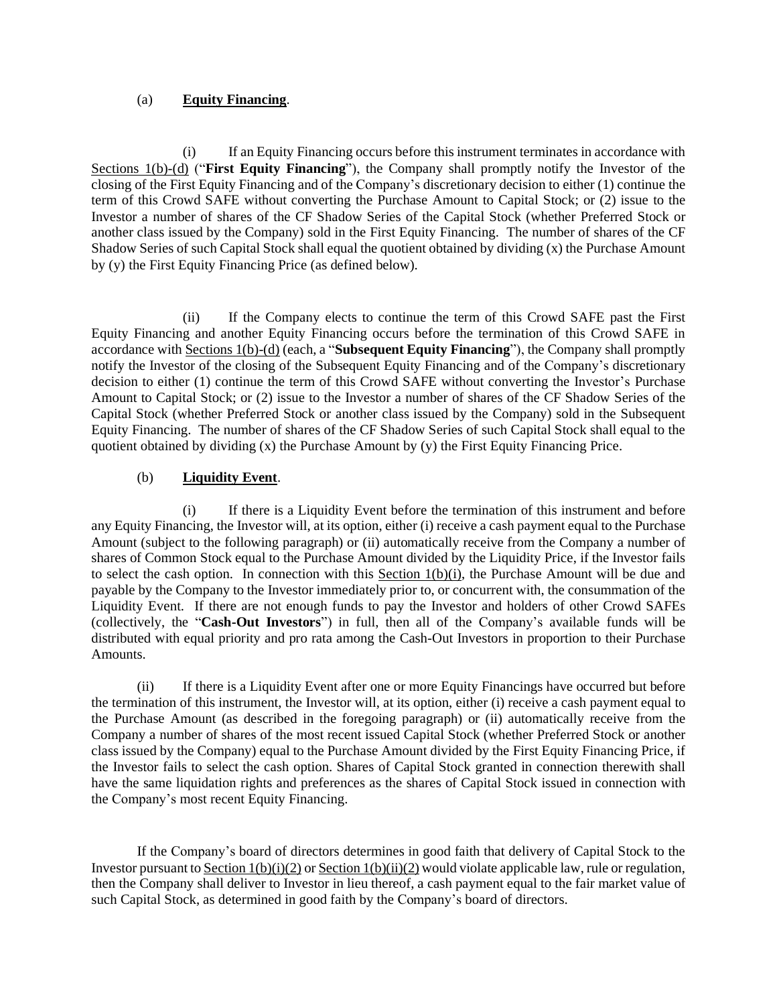## (a) **Equity Financing**.

(i) If an Equity Financing occurs before this instrument terminates in accordance with Sections 1(b)-(d) ("**First Equity Financing**"), the Company shall promptly notify the Investor of the closing of the First Equity Financing and of the Company's discretionary decision to either (1) continue the term of this Crowd SAFE without converting the Purchase Amount to Capital Stock; or (2) issue to the Investor a number of shares of the CF Shadow Series of the Capital Stock (whether Preferred Stock or another class issued by the Company) sold in the First Equity Financing. The number of shares of the CF Shadow Series of such Capital Stock shall equal the quotient obtained by dividing (x) the Purchase Amount by (y) the First Equity Financing Price (as defined below).

(ii) If the Company elects to continue the term of this Crowd SAFE past the First Equity Financing and another Equity Financing occurs before the termination of this Crowd SAFE in accordance with Sections 1(b)-(d) (each, a "**Subsequent Equity Financing**"), the Company shall promptly notify the Investor of the closing of the Subsequent Equity Financing and of the Company's discretionary decision to either (1) continue the term of this Crowd SAFE without converting the Investor's Purchase Amount to Capital Stock; or (2) issue to the Investor a number of shares of the CF Shadow Series of the Capital Stock (whether Preferred Stock or another class issued by the Company) sold in the Subsequent Equity Financing. The number of shares of the CF Shadow Series of such Capital Stock shall equal to the quotient obtained by dividing  $(x)$  the Purchase Amount by  $(y)$  the First Equity Financing Price.

# (b) **Liquidity Event**.

(i) If there is a Liquidity Event before the termination of this instrument and before any Equity Financing, the Investor will, at its option, either (i) receive a cash payment equal to the Purchase Amount (subject to the following paragraph) or (ii) automatically receive from the Company a number of shares of Common Stock equal to the Purchase Amount divided by the Liquidity Price, if the Investor fails to select the cash option. In connection with this Section  $1(b)(i)$ , the Purchase Amount will be due and payable by the Company to the Investor immediately prior to, or concurrent with, the consummation of the Liquidity Event. If there are not enough funds to pay the Investor and holders of other Crowd SAFEs (collectively, the "**Cash-Out Investors**") in full, then all of the Company's available funds will be distributed with equal priority and pro rata among the Cash-Out Investors in proportion to their Purchase Amounts.

(ii) If there is a Liquidity Event after one or more Equity Financings have occurred but before the termination of this instrument, the Investor will, at its option, either (i) receive a cash payment equal to the Purchase Amount (as described in the foregoing paragraph) or (ii) automatically receive from the Company a number of shares of the most recent issued Capital Stock (whether Preferred Stock or another class issued by the Company) equal to the Purchase Amount divided by the First Equity Financing Price, if the Investor fails to select the cash option. Shares of Capital Stock granted in connection therewith shall have the same liquidation rights and preferences as the shares of Capital Stock issued in connection with the Company's most recent Equity Financing.

If the Company's board of directors determines in good faith that delivery of Capital Stock to the Investor pursuant to Section  $1(b)(i)(2)$  or Section  $1(b)(ii)(2)$  would violate applicable law, rule or regulation, then the Company shall deliver to Investor in lieu thereof, a cash payment equal to the fair market value of such Capital Stock, as determined in good faith by the Company's board of directors.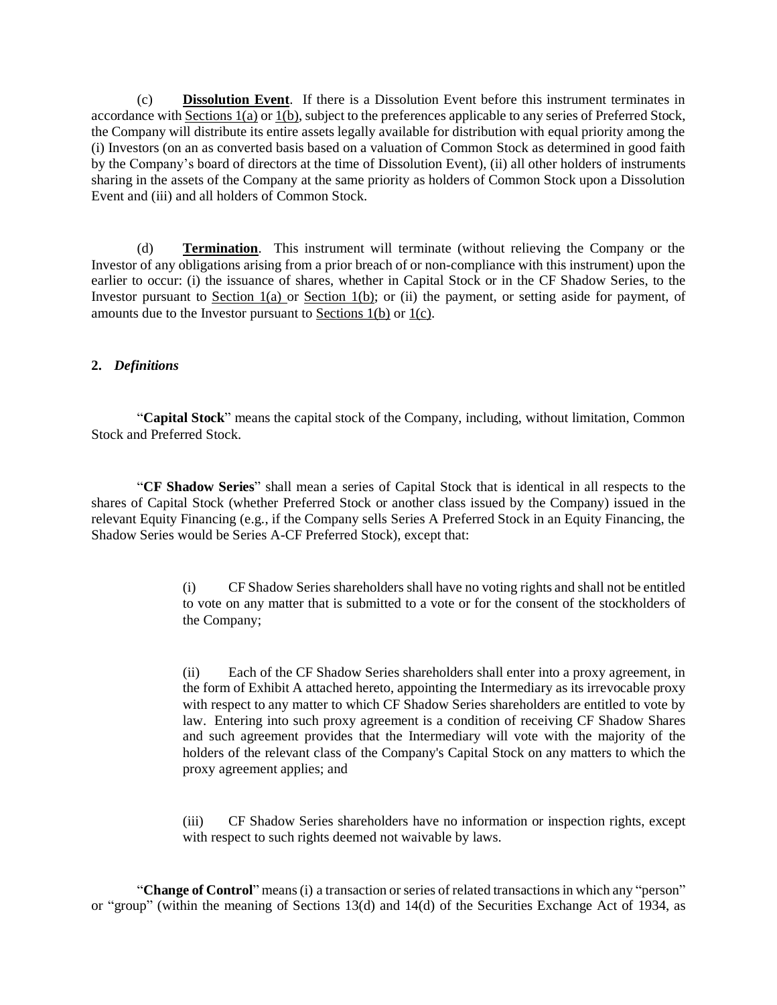(c) **Dissolution Event**. If there is a Dissolution Event before this instrument terminates in accordance with Sections 1(a) or 1(b), subject to the preferences applicable to any series of Preferred Stock, the Company will distribute its entire assets legally available for distribution with equal priority among the (i) Investors (on an as converted basis based on a valuation of Common Stock as determined in good faith by the Company's board of directors at the time of Dissolution Event), (ii) all other holders of instruments sharing in the assets of the Company at the same priority as holders of Common Stock upon a Dissolution Event and (iii) and all holders of Common Stock.

(d) **Termination**. This instrument will terminate (without relieving the Company or the Investor of any obligations arising from a prior breach of or non-compliance with this instrument) upon the earlier to occur: (i) the issuance of shares, whether in Capital Stock or in the CF Shadow Series, to the Investor pursuant to Section  $1(a)$  or Section  $1(b)$ ; or (ii) the payment, or setting aside for payment, of amounts due to the Investor pursuant to Sections  $1(b)$  or  $1(c)$ .

## **2.** *Definitions*

"**Capital Stock**" means the capital stock of the Company, including, without limitation, Common Stock and Preferred Stock.

"**CF Shadow Series**" shall mean a series of Capital Stock that is identical in all respects to the shares of Capital Stock (whether Preferred Stock or another class issued by the Company) issued in the relevant Equity Financing (e.g*.*, if the Company sells Series A Preferred Stock in an Equity Financing, the Shadow Series would be Series A-CF Preferred Stock), except that:

> (i) CF Shadow Series shareholders shall have no voting rights and shall not be entitled to vote on any matter that is submitted to a vote or for the consent of the stockholders of the Company;

> (ii) Each of the CF Shadow Series shareholders shall enter into a proxy agreement, in the form of Exhibit A attached hereto, appointing the Intermediary as its irrevocable proxy with respect to any matter to which CF Shadow Series shareholders are entitled to vote by law. Entering into such proxy agreement is a condition of receiving CF Shadow Shares and such agreement provides that the Intermediary will vote with the majority of the holders of the relevant class of the Company's Capital Stock on any matters to which the proxy agreement applies; and

> (iii) CF Shadow Series shareholders have no information or inspection rights, except with respect to such rights deemed not waivable by laws.

"**Change of Control**" means(i) a transaction orseries of related transactionsin which any "person" or "group" (within the meaning of Sections 13(d) and 14(d) of the Securities Exchange Act of 1934, as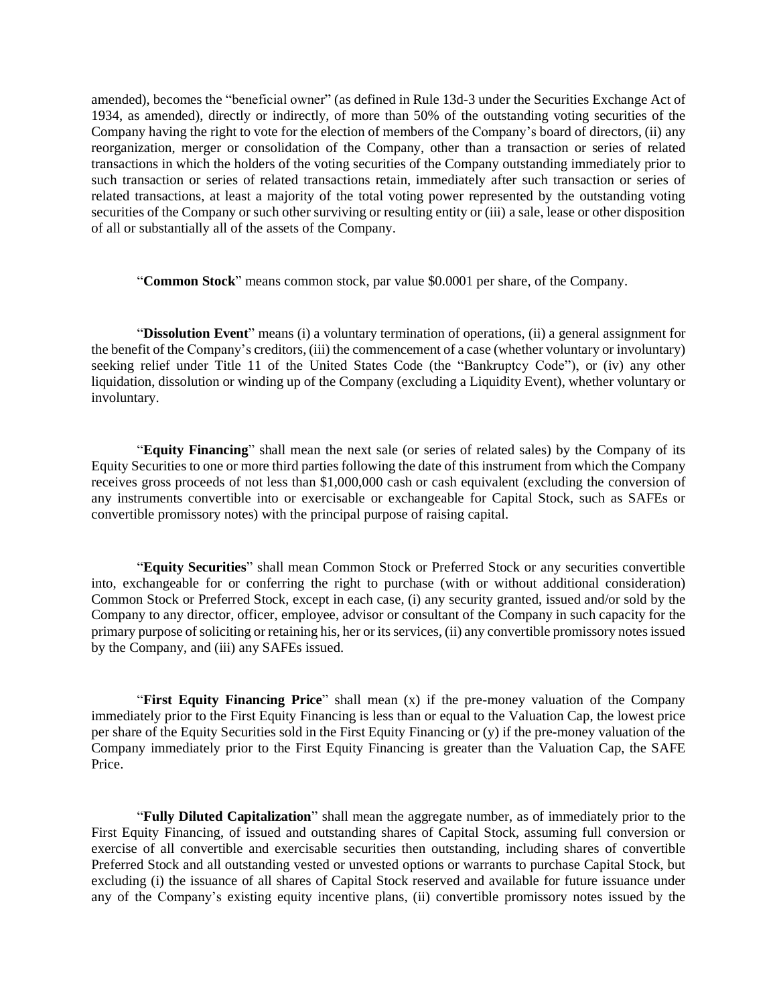amended), becomes the "beneficial owner" (as defined in Rule 13d-3 under the Securities Exchange Act of 1934, as amended), directly or indirectly, of more than 50% of the outstanding voting securities of the Company having the right to vote for the election of members of the Company's board of directors, (ii) any reorganization, merger or consolidation of the Company, other than a transaction or series of related transactions in which the holders of the voting securities of the Company outstanding immediately prior to such transaction or series of related transactions retain, immediately after such transaction or series of related transactions, at least a majority of the total voting power represented by the outstanding voting securities of the Company or such other surviving or resulting entity or (iii) a sale, lease or other disposition of all or substantially all of the assets of the Company.

"**Common Stock**" means common stock, par value \$0.0001 per share, of the Company.

"**Dissolution Event**" means (i) a voluntary termination of operations, (ii) a general assignment for the benefit of the Company's creditors, (iii) the commencement of a case (whether voluntary or involuntary) seeking relief under Title 11 of the United States Code (the "Bankruptcy Code"), or (iv) any other liquidation, dissolution or winding up of the Company (excluding a Liquidity Event), whether voluntary or involuntary.

"**Equity Financing**" shall mean the next sale (or series of related sales) by the Company of its Equity Securities to one or more third parties following the date of this instrument from which the Company receives gross proceeds of not less than \$1,000,000 cash or cash equivalent (excluding the conversion of any instruments convertible into or exercisable or exchangeable for Capital Stock, such as SAFEs or convertible promissory notes) with the principal purpose of raising capital.

"**Equity Securities**" shall mean Common Stock or Preferred Stock or any securities convertible into, exchangeable for or conferring the right to purchase (with or without additional consideration) Common Stock or Preferred Stock, except in each case, (i) any security granted, issued and/or sold by the Company to any director, officer, employee, advisor or consultant of the Company in such capacity for the primary purpose ofsoliciting or retaining his, her or its services, (ii) any convertible promissory notesissued by the Company, and (iii) any SAFEs issued.

"**First Equity Financing Price**" shall mean (x) if the pre-money valuation of the Company immediately prior to the First Equity Financing is less than or equal to the Valuation Cap, the lowest price per share of the Equity Securities sold in the First Equity Financing or (y) if the pre-money valuation of the Company immediately prior to the First Equity Financing is greater than the Valuation Cap, the SAFE Price.

"**Fully Diluted Capitalization**" shall mean the aggregate number, as of immediately prior to the First Equity Financing, of issued and outstanding shares of Capital Stock, assuming full conversion or exercise of all convertible and exercisable securities then outstanding, including shares of convertible Preferred Stock and all outstanding vested or unvested options or warrants to purchase Capital Stock, but excluding (i) the issuance of all shares of Capital Stock reserved and available for future issuance under any of the Company's existing equity incentive plans, (ii) convertible promissory notes issued by the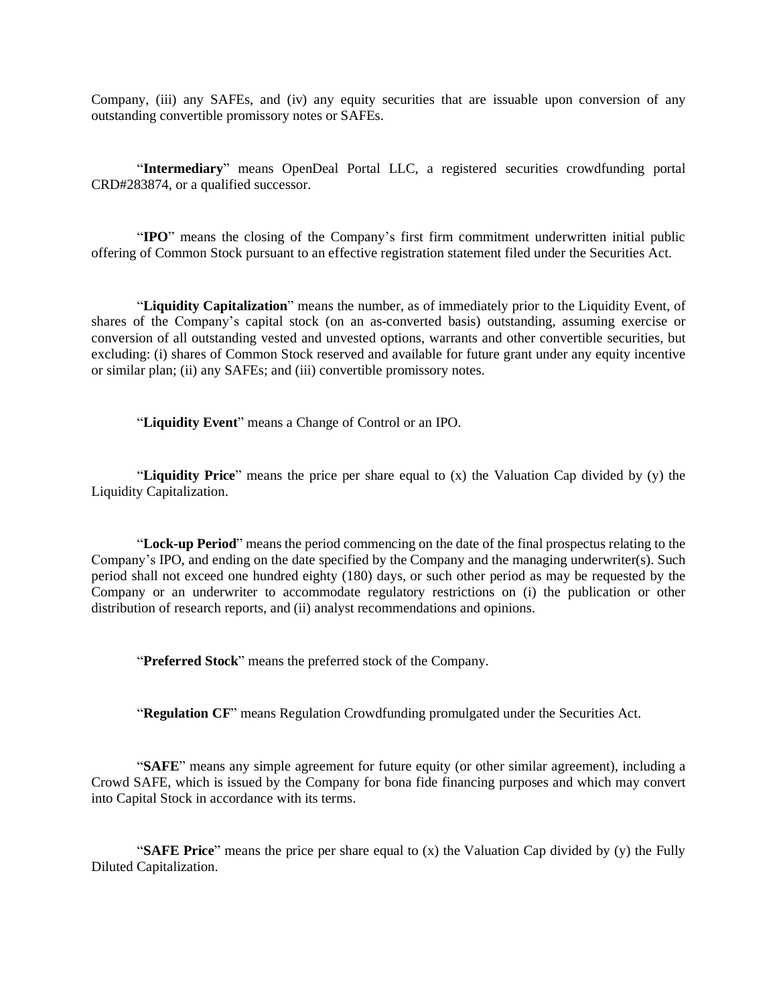Company, (iii) any SAFEs, and (iv) any equity securities that are issuable upon conversion of any outstanding convertible promissory notes or SAFEs.

"**Intermediary**" means OpenDeal Portal LLC, a registered securities crowdfunding portal CRD#283874, or a qualified successor.

"**IPO**" means the closing of the Company's first firm commitment underwritten initial public offering of Common Stock pursuant to an effective registration statement filed under the Securities Act.

"**Liquidity Capitalization**" means the number, as of immediately prior to the Liquidity Event, of shares of the Company's capital stock (on an as-converted basis) outstanding, assuming exercise or conversion of all outstanding vested and unvested options, warrants and other convertible securities, but excluding: (i) shares of Common Stock reserved and available for future grant under any equity incentive or similar plan; (ii) any SAFEs; and (iii) convertible promissory notes.

"**Liquidity Event**" means a Change of Control or an IPO.

"**Liquidity Price**" means the price per share equal to (x) the Valuation Cap divided by (y) the Liquidity Capitalization.

"**Lock-up Period**" means the period commencing on the date of the final prospectus relating to the Company's IPO, and ending on the date specified by the Company and the managing underwriter(s). Such period shall not exceed one hundred eighty (180) days, or such other period as may be requested by the Company or an underwriter to accommodate regulatory restrictions on (i) the publication or other distribution of research reports, and (ii) analyst recommendations and opinions.

"**Preferred Stock**" means the preferred stock of the Company.

"**Regulation CF**" means Regulation Crowdfunding promulgated under the Securities Act.

"**SAFE**" means any simple agreement for future equity (or other similar agreement), including a Crowd SAFE, which is issued by the Company for bona fide financing purposes and which may convert into Capital Stock in accordance with its terms.

"**SAFE Price**" means the price per share equal to (x) the Valuation Cap divided by (y) the Fully Diluted Capitalization.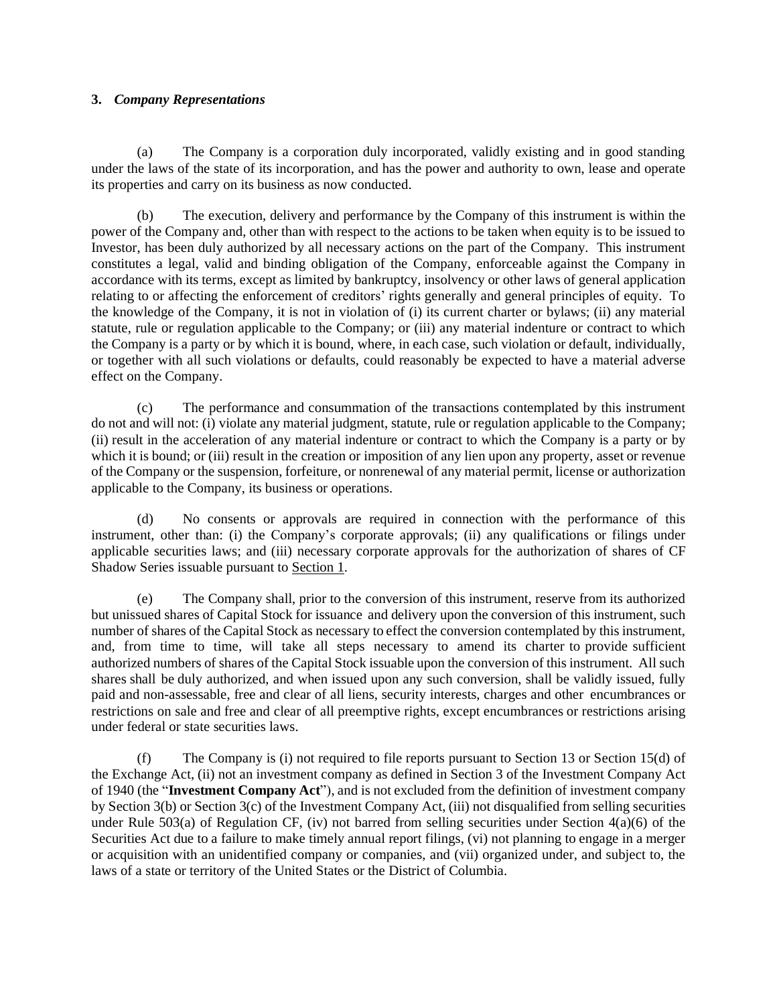### **3.** *Company Representations*

(a) The Company is a corporation duly incorporated, validly existing and in good standing under the laws of the state of its incorporation, and has the power and authority to own, lease and operate its properties and carry on its business as now conducted.

(b) The execution, delivery and performance by the Company of this instrument is within the power of the Company and, other than with respect to the actions to be taken when equity is to be issued to Investor, has been duly authorized by all necessary actions on the part of the Company. This instrument constitutes a legal, valid and binding obligation of the Company, enforceable against the Company in accordance with its terms, except as limited by bankruptcy, insolvency or other laws of general application relating to or affecting the enforcement of creditors' rights generally and general principles of equity. To the knowledge of the Company, it is not in violation of (i) its current charter or bylaws; (ii) any material statute, rule or regulation applicable to the Company; or (iii) any material indenture or contract to which the Company is a party or by which it is bound, where, in each case, such violation or default, individually, or together with all such violations or defaults, could reasonably be expected to have a material adverse effect on the Company.

(c) The performance and consummation of the transactions contemplated by this instrument do not and will not: (i) violate any material judgment, statute, rule or regulation applicable to the Company; (ii) result in the acceleration of any material indenture or contract to which the Company is a party or by which it is bound; or (iii) result in the creation or imposition of any lien upon any property, asset or revenue of the Company or the suspension, forfeiture, or nonrenewal of any material permit, license or authorization applicable to the Company, its business or operations.

(d) No consents or approvals are required in connection with the performance of this instrument, other than: (i) the Company's corporate approvals; (ii) any qualifications or filings under applicable securities laws; and (iii) necessary corporate approvals for the authorization of shares of CF Shadow Series issuable pursuant to Section 1.

(e) The Company shall, prior to the conversion of this instrument, reserve from its authorized but unissued shares of Capital Stock for issuance and delivery upon the conversion of this instrument, such number of shares of the Capital Stock as necessary to effect the conversion contemplated by this instrument, and, from time to time, will take all steps necessary to amend its charter to provide sufficient authorized numbers of shares of the Capital Stock issuable upon the conversion of this instrument. All such shares shall be duly authorized, and when issued upon any such conversion, shall be validly issued, fully paid and non-assessable, free and clear of all liens, security interests, charges and other encumbrances or restrictions on sale and free and clear of all preemptive rights, except encumbrances or restrictions arising under federal or state securities laws.

(f) The Company is (i) not required to file reports pursuant to Section 13 or Section 15(d) of the Exchange Act, (ii) not an investment company as defined in Section 3 of the Investment Company Act of 1940 (the "**Investment Company Act**"), and is not excluded from the definition of investment company by Section 3(b) or Section 3(c) of the Investment Company Act, (iii) not disqualified from selling securities under Rule 503(a) of Regulation CF, (iv) not barred from selling securities under Section 4(a)(6) of the Securities Act due to a failure to make timely annual report filings, (vi) not planning to engage in a merger or acquisition with an unidentified company or companies, and (vii) organized under, and subject to, the laws of a state or territory of the United States or the District of Columbia.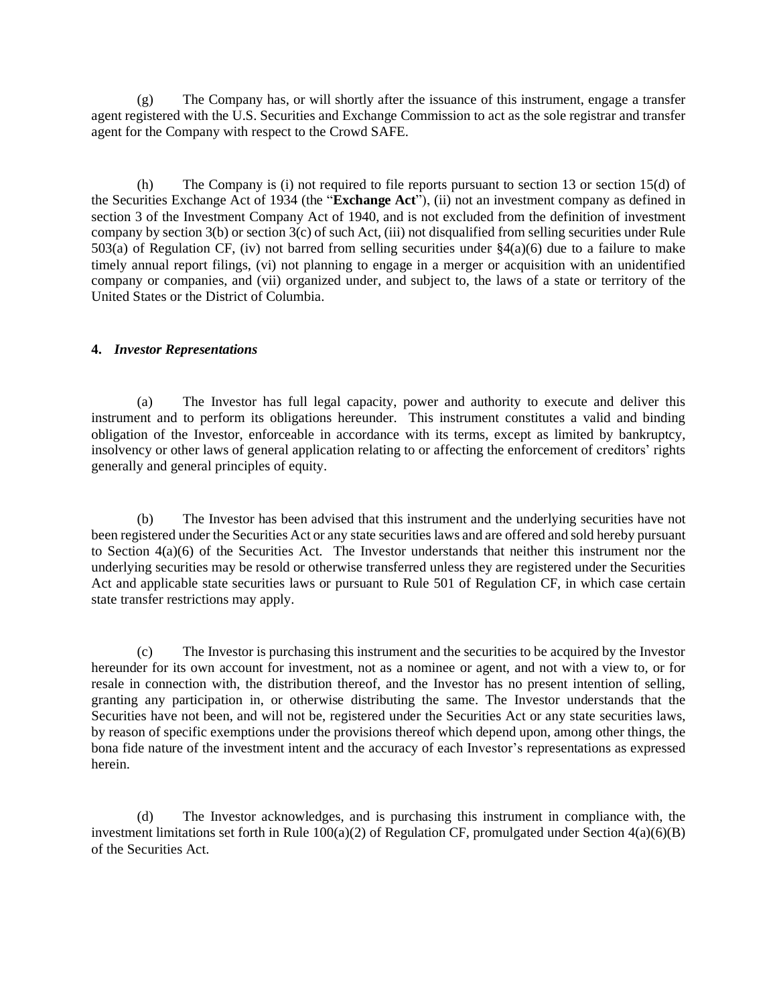(g) The Company has, or will shortly after the issuance of this instrument, engage a transfer agent registered with the U.S. Securities and Exchange Commission to act as the sole registrar and transfer agent for the Company with respect to the Crowd SAFE.

(h) The Company is (i) not required to file reports pursuant to section 13 or section 15(d) of the Securities Exchange Act of 1934 (the "**Exchange Act**"), (ii) not an investment company as defined in section 3 of the Investment Company Act of 1940, and is not excluded from the definition of investment company by section  $3(b)$  or section  $3(c)$  of such Act, (iii) not disqualified from selling securities under Rule 503(a) of Regulation CF, (iv) not barred from selling securities under  $\S4(a)(6)$  due to a failure to make timely annual report filings, (vi) not planning to engage in a merger or acquisition with an unidentified company or companies, and (vii) organized under, and subject to, the laws of a state or territory of the United States or the District of Columbia.

## **4.** *Investor Representations*

(a) The Investor has full legal capacity, power and authority to execute and deliver this instrument and to perform its obligations hereunder. This instrument constitutes a valid and binding obligation of the Investor, enforceable in accordance with its terms, except as limited by bankruptcy, insolvency or other laws of general application relating to or affecting the enforcement of creditors' rights generally and general principles of equity.

(b) The Investor has been advised that this instrument and the underlying securities have not been registered under the Securities Act or any state securities laws and are offered and sold hereby pursuant to Section 4(a)(6) of the Securities Act. The Investor understands that neither this instrument nor the underlying securities may be resold or otherwise transferred unless they are registered under the Securities Act and applicable state securities laws or pursuant to Rule 501 of Regulation CF, in which case certain state transfer restrictions may apply.

(c) The Investor is purchasing this instrument and the securities to be acquired by the Investor hereunder for its own account for investment, not as a nominee or agent, and not with a view to, or for resale in connection with, the distribution thereof, and the Investor has no present intention of selling, granting any participation in, or otherwise distributing the same. The Investor understands that the Securities have not been, and will not be, registered under the Securities Act or any state securities laws, by reason of specific exemptions under the provisions thereof which depend upon, among other things, the bona fide nature of the investment intent and the accuracy of each Investor's representations as expressed herein.

(d) The Investor acknowledges, and is purchasing this instrument in compliance with, the investment limitations set forth in Rule  $100(a)(2)$  of Regulation CF, promulgated under Section  $4(a)(6)(B)$ of the Securities Act.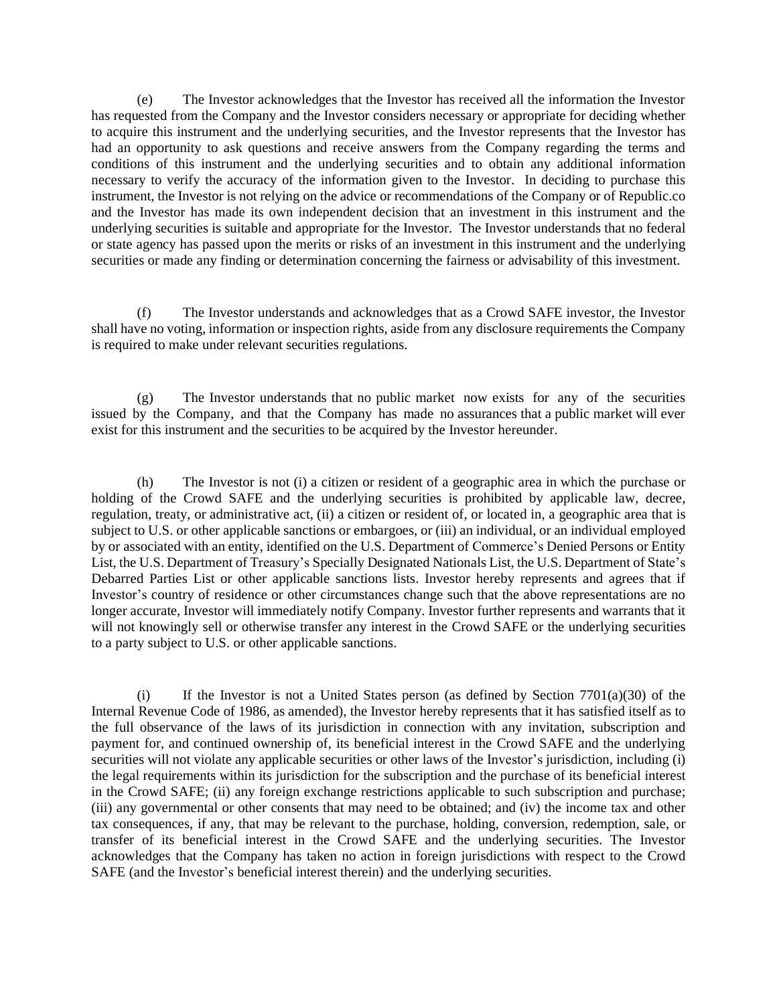(e) The Investor acknowledges that the Investor has received all the information the Investor has requested from the Company and the Investor considers necessary or appropriate for deciding whether to acquire this instrument and the underlying securities, and the Investor represents that the Investor has had an opportunity to ask questions and receive answers from the Company regarding the terms and conditions of this instrument and the underlying securities and to obtain any additional information necessary to verify the accuracy of the information given to the Investor. In deciding to purchase this instrument, the Investor is not relying on the advice or recommendations of the Company or of Republic.co and the Investor has made its own independent decision that an investment in this instrument and the underlying securities is suitable and appropriate for the Investor. The Investor understands that no federal or state agency has passed upon the merits or risks of an investment in this instrument and the underlying securities or made any finding or determination concerning the fairness or advisability of this investment.

(f) The Investor understands and acknowledges that as a Crowd SAFE investor, the Investor shall have no voting, information or inspection rights, aside from any disclosure requirements the Company is required to make under relevant securities regulations.

(g) The Investor understands that no public market now exists for any of the securities issued by the Company, and that the Company has made no assurances that a public market will ever exist for this instrument and the securities to be acquired by the Investor hereunder.

(h) The Investor is not (i) a citizen or resident of a geographic area in which the purchase or holding of the Crowd SAFE and the underlying securities is prohibited by applicable law, decree, regulation, treaty, or administrative act, (ii) a citizen or resident of, or located in, a geographic area that is subject to U.S. or other applicable sanctions or embargoes, or (iii) an individual, or an individual employed by or associated with an entity, identified on the U.S. Department of Commerce's Denied Persons or Entity List, the U.S. Department of Treasury's Specially Designated Nationals List, the U.S. Department of State's Debarred Parties List or other applicable sanctions lists. Investor hereby represents and agrees that if Investor's country of residence or other circumstances change such that the above representations are no longer accurate, Investor will immediately notify Company. Investor further represents and warrants that it will not knowingly sell or otherwise transfer any interest in the Crowd SAFE or the underlying securities to a party subject to U.S. or other applicable sanctions.

(i) If the Investor is not a United States person (as defined by Section  $7701(a)(30)$  of the Internal Revenue Code of 1986, as amended), the Investor hereby represents that it has satisfied itself as to the full observance of the laws of its jurisdiction in connection with any invitation, subscription and payment for, and continued ownership of, its beneficial interest in the Crowd SAFE and the underlying securities will not violate any applicable securities or other laws of the Investor's jurisdiction, including (i) the legal requirements within its jurisdiction for the subscription and the purchase of its beneficial interest in the Crowd SAFE; (ii) any foreign exchange restrictions applicable to such subscription and purchase; (iii) any governmental or other consents that may need to be obtained; and (iv) the income tax and other tax consequences, if any, that may be relevant to the purchase, holding, conversion, redemption, sale, or transfer of its beneficial interest in the Crowd SAFE and the underlying securities. The Investor acknowledges that the Company has taken no action in foreign jurisdictions with respect to the Crowd SAFE (and the Investor's beneficial interest therein) and the underlying securities.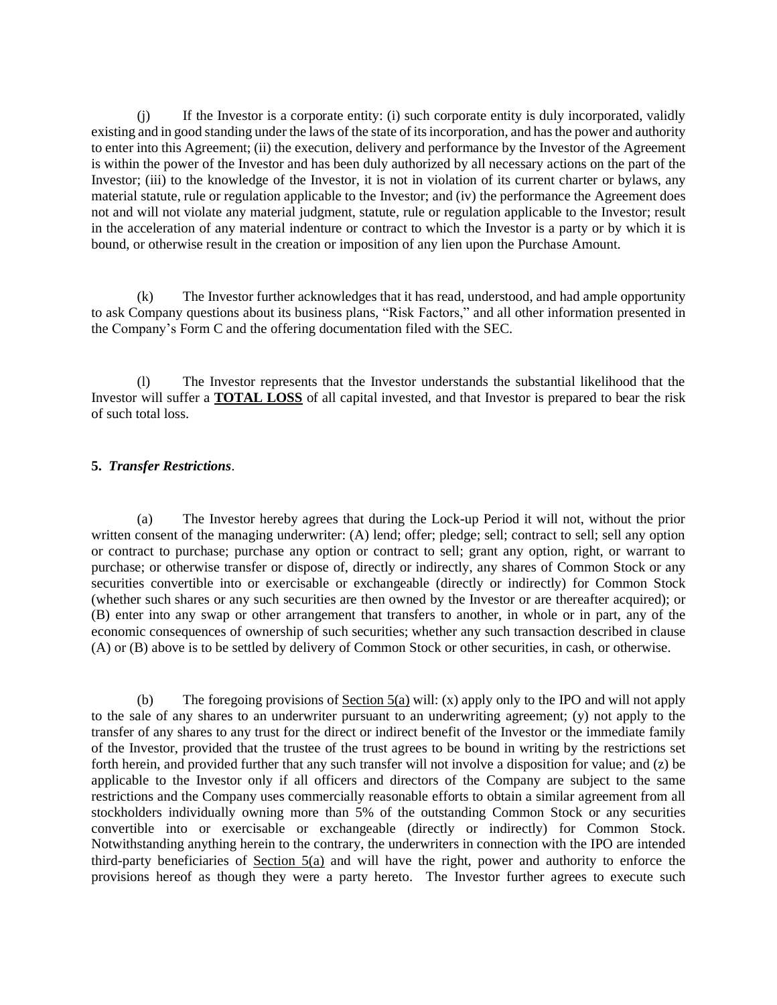(j) If the Investor is a corporate entity: (i) such corporate entity is duly incorporated, validly existing and in good standing under the laws of the state of itsincorporation, and hasthe power and authority to enter into this Agreement; (ii) the execution, delivery and performance by the Investor of the Agreement is within the power of the Investor and has been duly authorized by all necessary actions on the part of the Investor; (iii) to the knowledge of the Investor, it is not in violation of its current charter or bylaws, any material statute, rule or regulation applicable to the Investor; and (iv) the performance the Agreement does not and will not violate any material judgment, statute, rule or regulation applicable to the Investor; result in the acceleration of any material indenture or contract to which the Investor is a party or by which it is bound, or otherwise result in the creation or imposition of any lien upon the Purchase Amount.

(k) The Investor further acknowledges that it has read, understood, and had ample opportunity to ask Company questions about its business plans, "Risk Factors," and all other information presented in the Company's Form C and the offering documentation filed with the SEC.

(l) The Investor represents that the Investor understands the substantial likelihood that the Investor will suffer a **TOTAL LOSS** of all capital invested, and that Investor is prepared to bear the risk of such total loss.

#### **5.** *Transfer Restrictions*.

(a) The Investor hereby agrees that during the Lock-up Period it will not, without the prior written consent of the managing underwriter: (A) lend; offer; pledge; sell; contract to sell; sell any option or contract to purchase; purchase any option or contract to sell; grant any option, right, or warrant to purchase; or otherwise transfer or dispose of, directly or indirectly, any shares of Common Stock or any securities convertible into or exercisable or exchangeable (directly or indirectly) for Common Stock (whether such shares or any such securities are then owned by the Investor or are thereafter acquired); or (B) enter into any swap or other arrangement that transfers to another, in whole or in part, any of the economic consequences of ownership of such securities; whether any such transaction described in clause (A) or (B) above is to be settled by delivery of Common Stock or other securities, in cash, or otherwise.

(b) The foregoing provisions of Section 5(a) will: (x) apply only to the IPO and will not apply to the sale of any shares to an underwriter pursuant to an underwriting agreement; (y) not apply to the transfer of any shares to any trust for the direct or indirect benefit of the Investor or the immediate family of the Investor, provided that the trustee of the trust agrees to be bound in writing by the restrictions set forth herein, and provided further that any such transfer will not involve a disposition for value; and (z) be applicable to the Investor only if all officers and directors of the Company are subject to the same restrictions and the Company uses commercially reasonable efforts to obtain a similar agreement from all stockholders individually owning more than 5% of the outstanding Common Stock or any securities convertible into or exercisable or exchangeable (directly or indirectly) for Common Stock. Notwithstanding anything herein to the contrary, the underwriters in connection with the IPO are intended third-party beneficiaries of Section 5(a) and will have the right, power and authority to enforce the provisions hereof as though they were a party hereto. The Investor further agrees to execute such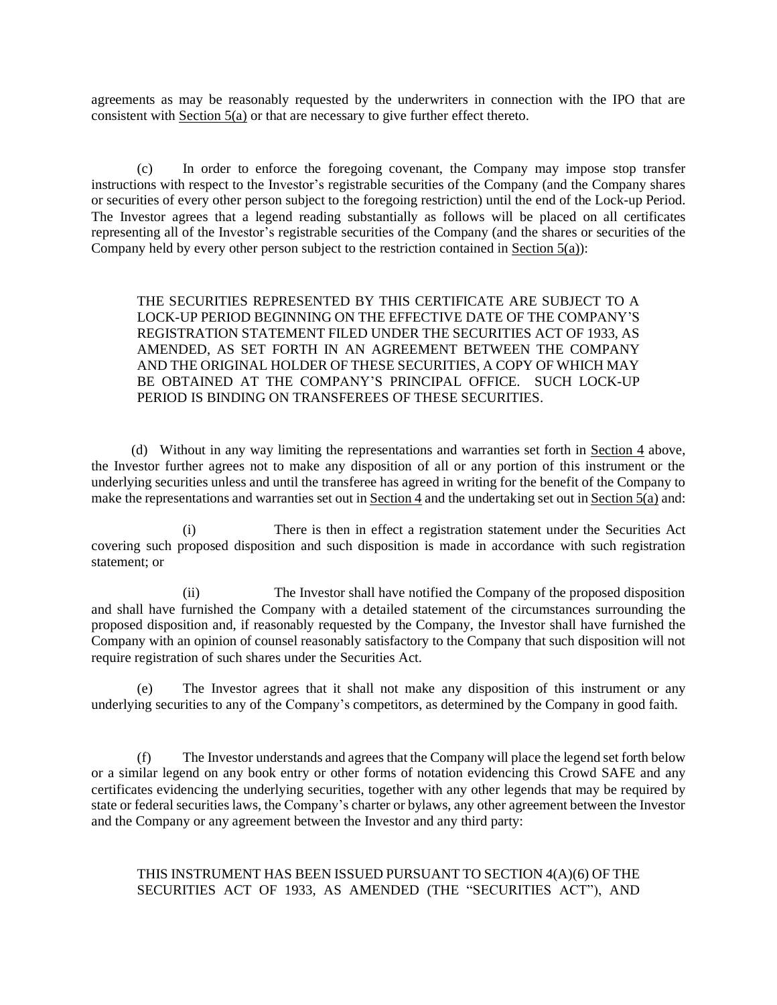agreements as may be reasonably requested by the underwriters in connection with the IPO that are consistent with Section 5(a) or that are necessary to give further effect thereto.

(c) In order to enforce the foregoing covenant, the Company may impose stop transfer instructions with respect to the Investor's registrable securities of the Company (and the Company shares or securities of every other person subject to the foregoing restriction) until the end of the Lock-up Period. The Investor agrees that a legend reading substantially as follows will be placed on all certificates representing all of the Investor's registrable securities of the Company (and the shares or securities of the Company held by every other person subject to the restriction contained in Section 5(a)):

THE SECURITIES REPRESENTED BY THIS CERTIFICATE ARE SUBJECT TO A LOCK-UP PERIOD BEGINNING ON THE EFFECTIVE DATE OF THE COMPANY'S REGISTRATION STATEMENT FILED UNDER THE SECURITIES ACT OF 1933, AS AMENDED, AS SET FORTH IN AN AGREEMENT BETWEEN THE COMPANY AND THE ORIGINAL HOLDER OF THESE SECURITIES, A COPY OF WHICH MAY BE OBTAINED AT THE COMPANY'S PRINCIPAL OFFICE. SUCH LOCK-UP PERIOD IS BINDING ON TRANSFEREES OF THESE SECURITIES.

(d) Without in any way limiting the representations and warranties set forth in Section 4 above, the Investor further agrees not to make any disposition of all or any portion of this instrument or the underlying securities unless and until the transferee has agreed in writing for the benefit of the Company to make the representations and warranties set out in Section 4 and the undertaking set out in Section  $\overline{5(a)}$  and:

There is then in effect a registration statement under the Securities Act covering such proposed disposition and such disposition is made in accordance with such registration statement; or

(ii) The Investor shall have notified the Company of the proposed disposition and shall have furnished the Company with a detailed statement of the circumstances surrounding the proposed disposition and, if reasonably requested by the Company, the Investor shall have furnished the Company with an opinion of counsel reasonably satisfactory to the Company that such disposition will not require registration of such shares under the Securities Act.

(e) The Investor agrees that it shall not make any disposition of this instrument or any underlying securities to any of the Company's competitors, as determined by the Company in good faith.

(f) The Investor understands and agrees that the Company will place the legend set forth below or a similar legend on any book entry or other forms of notation evidencing this Crowd SAFE and any certificates evidencing the underlying securities, together with any other legends that may be required by state or federal securities laws, the Company's charter or bylaws, any other agreement between the Investor and the Company or any agreement between the Investor and any third party:

# THIS INSTRUMENT HAS BEEN ISSUED PURSUANT TO SECTION 4(A)(6) OF THE SECURITIES ACT OF 1933, AS AMENDED (THE "SECURITIES ACT"), AND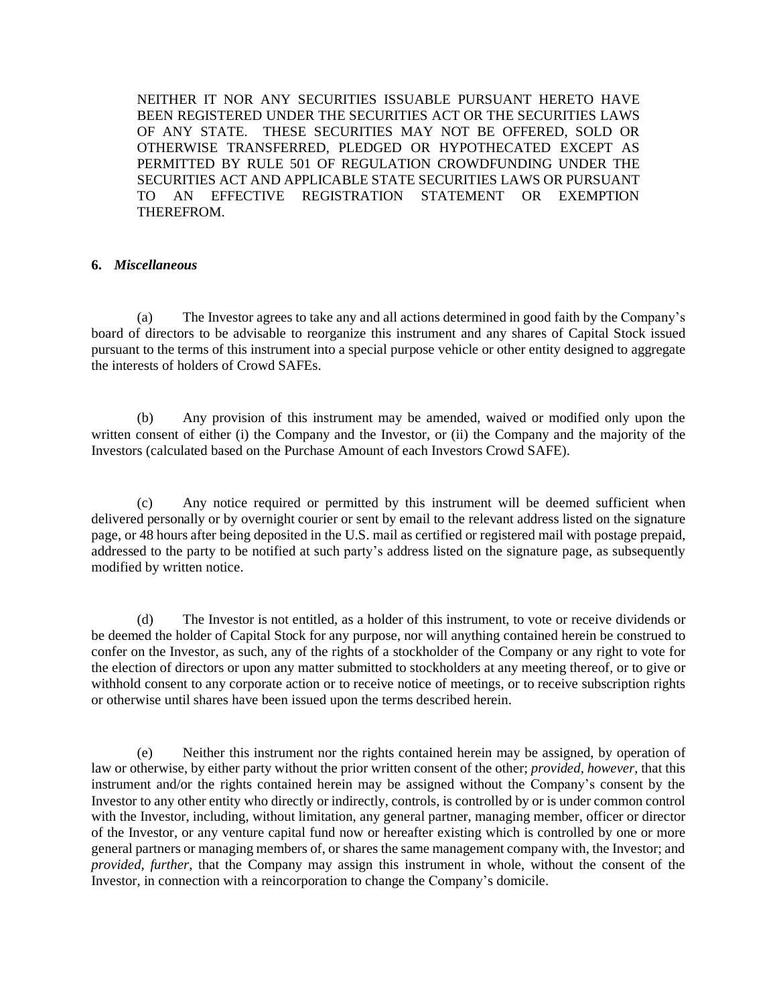NEITHER IT NOR ANY SECURITIES ISSUABLE PURSUANT HERETO HAVE BEEN REGISTERED UNDER THE SECURITIES ACT OR THE SECURITIES LAWS OF ANY STATE. THESE SECURITIES MAY NOT BE OFFERED, SOLD OR OTHERWISE TRANSFERRED, PLEDGED OR HYPOTHECATED EXCEPT AS PERMITTED BY RULE 501 OF REGULATION CROWDFUNDING UNDER THE SECURITIES ACT AND APPLICABLE STATE SECURITIES LAWS OR PURSUANT TO AN EFFECTIVE REGISTRATION STATEMENT OR EXEMPTION THEREFROM.

#### **6.** *Miscellaneous*

(a) The Investor agrees to take any and all actions determined in good faith by the Company's board of directors to be advisable to reorganize this instrument and any shares of Capital Stock issued pursuant to the terms of this instrument into a special purpose vehicle or other entity designed to aggregate the interests of holders of Crowd SAFEs.

(b) Any provision of this instrument may be amended, waived or modified only upon the written consent of either (i) the Company and the Investor, or (ii) the Company and the majority of the Investors (calculated based on the Purchase Amount of each Investors Crowd SAFE).

(c) Any notice required or permitted by this instrument will be deemed sufficient when delivered personally or by overnight courier or sent by email to the relevant address listed on the signature page, or 48 hours after being deposited in the U.S. mail as certified or registered mail with postage prepaid, addressed to the party to be notified at such party's address listed on the signature page, as subsequently modified by written notice.

(d) The Investor is not entitled, as a holder of this instrument, to vote or receive dividends or be deemed the holder of Capital Stock for any purpose, nor will anything contained herein be construed to confer on the Investor, as such, any of the rights of a stockholder of the Company or any right to vote for the election of directors or upon any matter submitted to stockholders at any meeting thereof, or to give or withhold consent to any corporate action or to receive notice of meetings, or to receive subscription rights or otherwise until shares have been issued upon the terms described herein.

(e) Neither this instrument nor the rights contained herein may be assigned, by operation of law or otherwise, by either party without the prior written consent of the other; *provided, however*, that this instrument and/or the rights contained herein may be assigned without the Company's consent by the Investor to any other entity who directly or indirectly, controls, is controlled by or is under common control with the Investor, including, without limitation, any general partner, managing member, officer or director of the Investor, or any venture capital fund now or hereafter existing which is controlled by one or more general partners or managing members of, or shares the same management company with, the Investor; and *provided, further*, that the Company may assign this instrument in whole, without the consent of the Investor, in connection with a reincorporation to change the Company's domicile.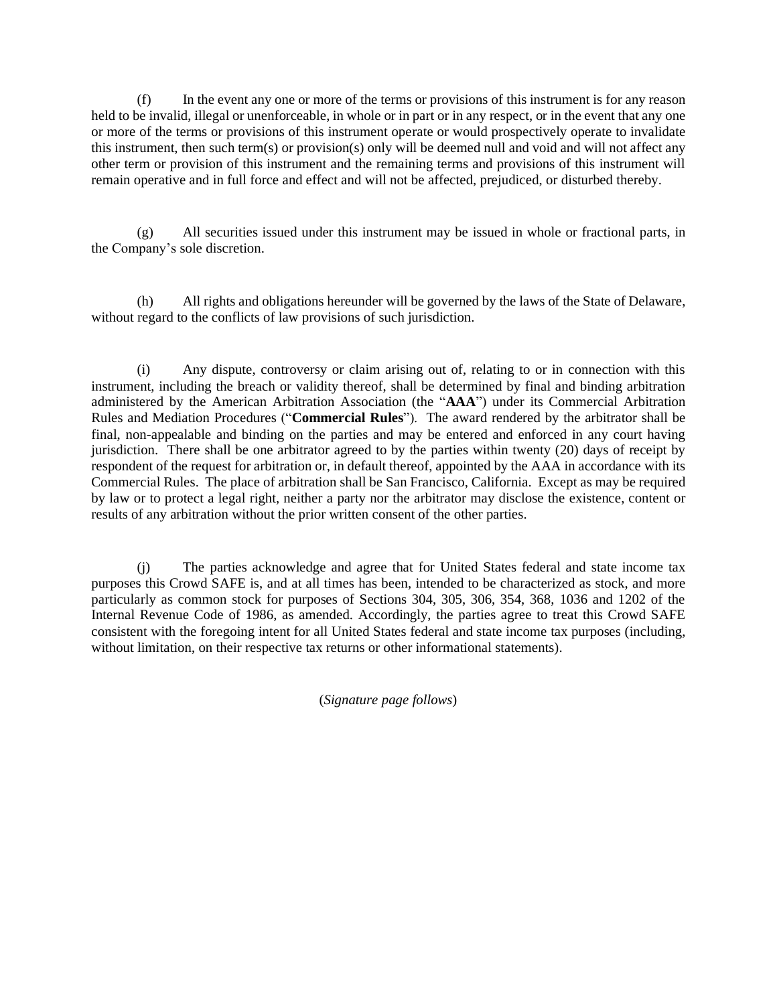(f) In the event any one or more of the terms or provisions of this instrument is for any reason held to be invalid, illegal or unenforceable, in whole or in part or in any respect, or in the event that any one or more of the terms or provisions of this instrument operate or would prospectively operate to invalidate this instrument, then such term(s) or provision(s) only will be deemed null and void and will not affect any other term or provision of this instrument and the remaining terms and provisions of this instrument will remain operative and in full force and effect and will not be affected, prejudiced, or disturbed thereby.

(g) All securities issued under this instrument may be issued in whole or fractional parts, in the Company's sole discretion.

(h) All rights and obligations hereunder will be governed by the laws of the State of Delaware, without regard to the conflicts of law provisions of such jurisdiction.

(i) Any dispute, controversy or claim arising out of, relating to or in connection with this instrument, including the breach or validity thereof, shall be determined by final and binding arbitration administered by the American Arbitration Association (the "**AAA**") under its Commercial Arbitration Rules and Mediation Procedures ("**Commercial Rules**"). The award rendered by the arbitrator shall be final, non-appealable and binding on the parties and may be entered and enforced in any court having jurisdiction. There shall be one arbitrator agreed to by the parties within twenty (20) days of receipt by respondent of the request for arbitration or, in default thereof, appointed by the AAA in accordance with its Commercial Rules. The place of arbitration shall be San Francisco, California. Except as may be required by law or to protect a legal right, neither a party nor the arbitrator may disclose the existence, content or results of any arbitration without the prior written consent of the other parties.

(j) The parties acknowledge and agree that for United States federal and state income tax purposes this Crowd SAFE is, and at all times has been, intended to be characterized as stock, and more particularly as common stock for purposes of Sections 304, 305, 306, 354, 368, 1036 and 1202 of the Internal Revenue Code of 1986, as amended. Accordingly, the parties agree to treat this Crowd SAFE consistent with the foregoing intent for all United States federal and state income tax purposes (including, without limitation, on their respective tax returns or other informational statements).

(*Signature page follows*)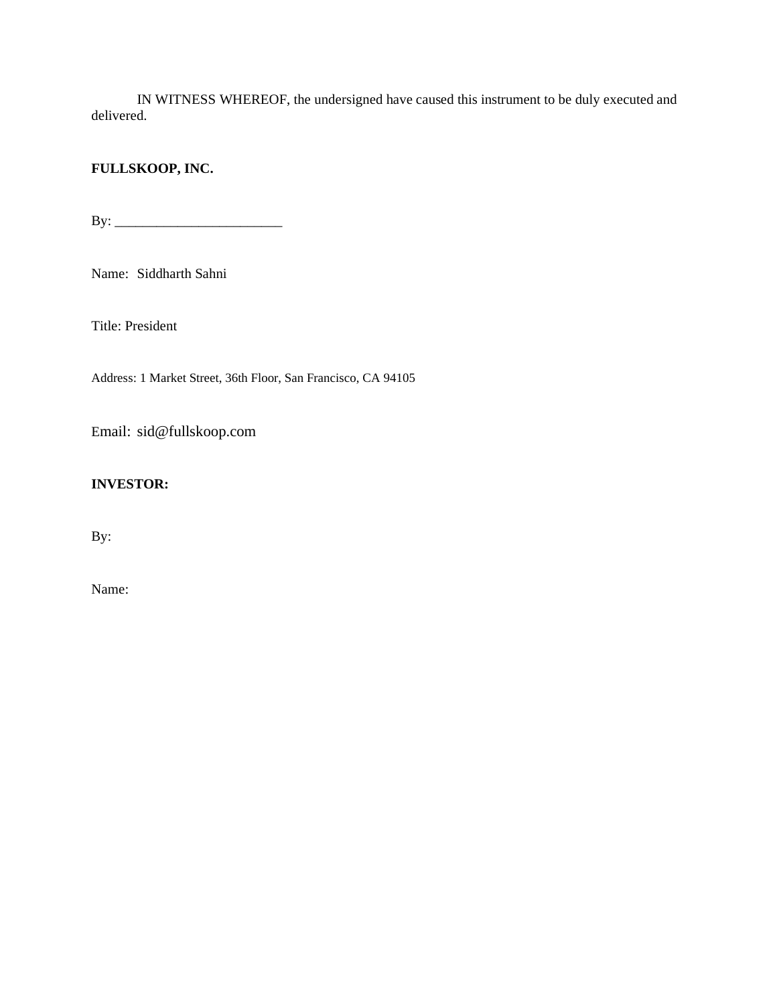IN WITNESS WHEREOF, the undersigned have caused this instrument to be duly executed and delivered.

# **FULLSKOOP, INC.**

By: \_\_\_\_\_\_\_\_\_\_\_\_\_\_\_\_\_\_\_\_\_\_\_\_

Name: Siddharth Sahni

Title: President

Address: 1 Market Street, 36th Floor, San Francisco, CA 94105

Email: sid@fullskoop.com

# **INVESTOR:**

By:

Name: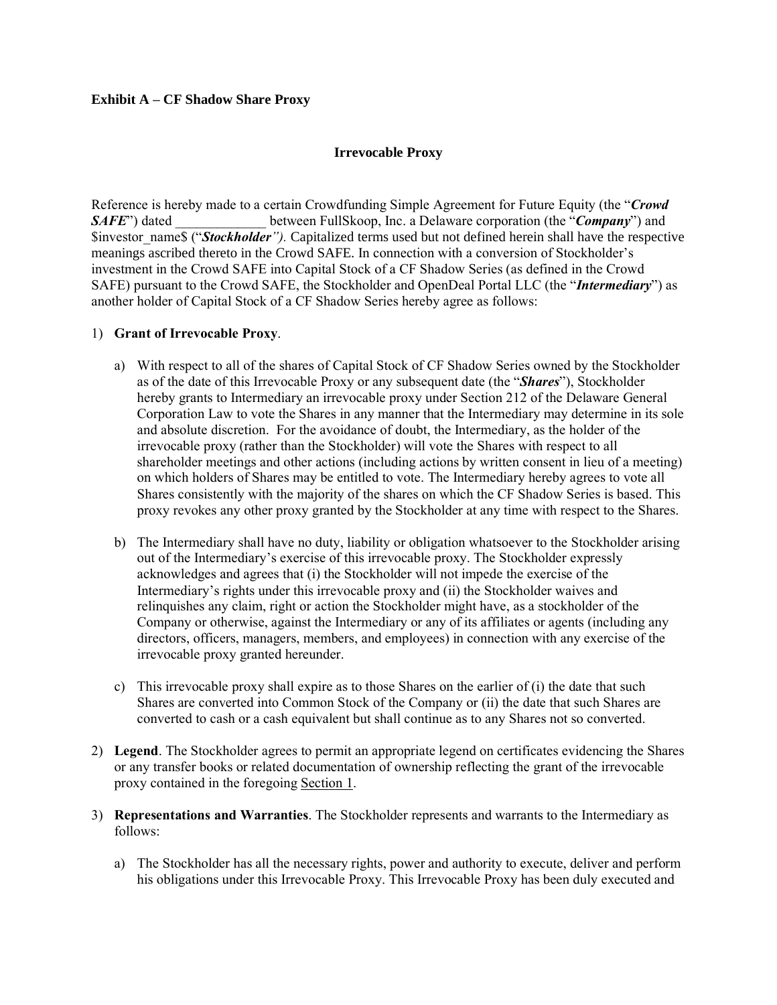### **Exhibit A – CF Shadow Share Proxy**

## **Irrevocable Proxy**

Reference is hereby made to a certain Crowdfunding Simple Agreement for Future Equity (the "*Crowd SAFE*") dated between FullSkoop, Inc. a Delaware corporation (the "*Company*") and \$investor\_name\$ ("*Stockholder").* Capitalized terms used but not defined herein shall have the respective meanings ascribed thereto in the Crowd SAFE. In connection with a conversion of Stockholder's investment in the Crowd SAFE into Capital Stock of a CF Shadow Series (as defined in the Crowd SAFE) pursuant to the Crowd SAFE, the Stockholder and OpenDeal Portal LLC (the "*Intermediary*") as another holder of Capital Stock of a CF Shadow Series hereby agree as follows:

### 1) **Grant of Irrevocable Proxy**.

- a) With respect to all of the shares of Capital Stock of CF Shadow Series owned by the Stockholder as of the date of this Irrevocable Proxy or any subsequent date (the "*Shares*"), Stockholder hereby grants to Intermediary an irrevocable proxy under Section 212 of the Delaware General Corporation Law to vote the Shares in any manner that the Intermediary may determine in its sole and absolute discretion. For the avoidance of doubt, the Intermediary, as the holder of the irrevocable proxy (rather than the Stockholder) will vote the Shares with respect to all shareholder meetings and other actions (including actions by written consent in lieu of a meeting) on which holders of Shares may be entitled to vote. The Intermediary hereby agrees to vote all Shares consistently with the majority of the shares on which the CF Shadow Series is based. This proxy revokes any other proxy granted by the Stockholder at any time with respect to the Shares.
- b) The Intermediary shall have no duty, liability or obligation whatsoever to the Stockholder arising out of the Intermediary's exercise of this irrevocable proxy. The Stockholder expressly acknowledges and agrees that (i) the Stockholder will not impede the exercise of the Intermediary's rights under this irrevocable proxy and (ii) the Stockholder waives and relinquishes any claim, right or action the Stockholder might have, as a stockholder of the Company or otherwise, against the Intermediary or any of its affiliates or agents (including any directors, officers, managers, members, and employees) in connection with any exercise of the irrevocable proxy granted hereunder.
- c) This irrevocable proxy shall expire as to those Shares on the earlier of  $(i)$  the date that such Shares are converted into Common Stock of the Company or (ii) the date that such Shares are converted to cash or a cash equivalent but shall continue as to any Shares not so converted.
- 2) **Legend**. The Stockholder agrees to permit an appropriate legend on certificates evidencing the Shares or any transfer books or related documentation of ownership reflecting the grant of the irrevocable proxy contained in the foregoing Section 1.
- 3) **Representations and Warranties**. The Stockholder represents and warrants to the Intermediary as follows:
	- a) The Stockholder has all the necessary rights, power and authority to execute, deliver and perform his obligations under this Irrevocable Proxy. This Irrevocable Proxy has been duly executed and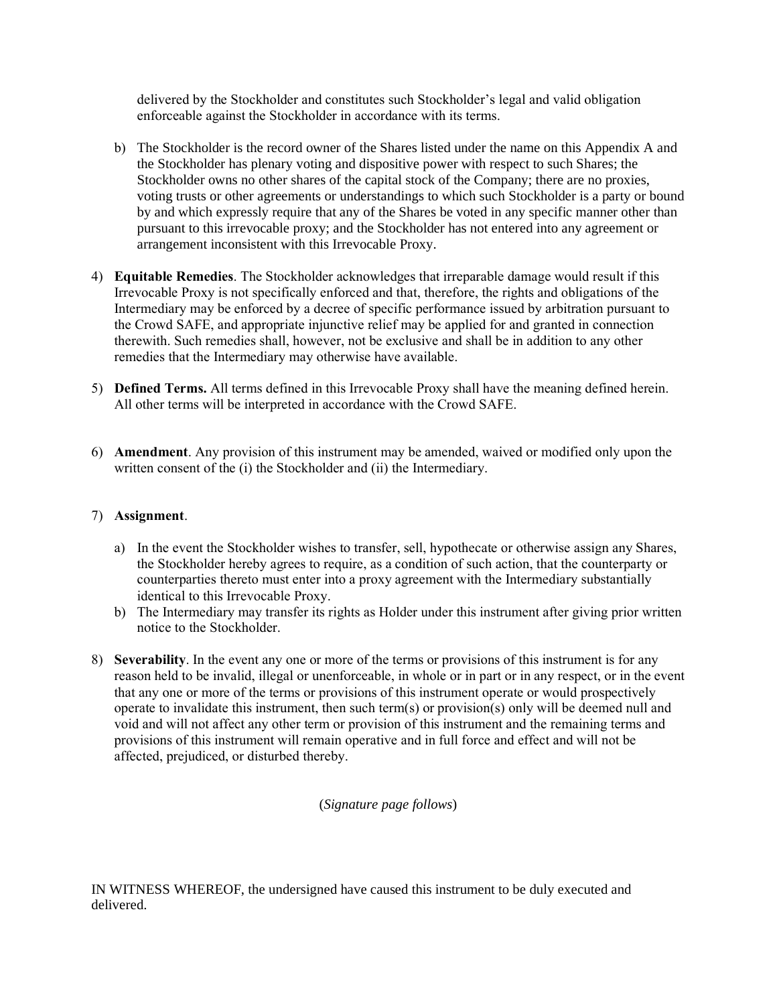delivered by the Stockholder and constitutes such Stockholder's legal and valid obligation enforceable against the Stockholder in accordance with its terms.

- b) The Stockholder is the record owner of the Shares listed under the name on this Appendix A and the Stockholder has plenary voting and dispositive power with respect to such Shares; the Stockholder owns no other shares of the capital stock of the Company; there are no proxies, voting trusts or other agreements or understandings to which such Stockholder is a party or bound by and which expressly require that any of the Shares be voted in any specific manner other than pursuant to this irrevocable proxy; and the Stockholder has not entered into any agreement or arrangement inconsistent with this Irrevocable Proxy.
- 4) **Equitable Remedies**. The Stockholder acknowledges that irreparable damage would result if this Irrevocable Proxy is not specifically enforced and that, therefore, the rights and obligations of the Intermediary may be enforced by a decree of specific performance issued by arbitration pursuant to the Crowd SAFE, and appropriate injunctive relief may be applied for and granted in connection therewith. Such remedies shall, however, not be exclusive and shall be in addition to any other remedies that the Intermediary may otherwise have available.
- 5) **Defined Terms.** All terms defined in this Irrevocable Proxy shall have the meaning defined herein. All other terms will be interpreted in accordance with the Crowd SAFE.
- 6) **Amendment**. Any provision of this instrument may be amended, waived or modified only upon the written consent of the (i) the Stockholder and (ii) the Intermediary.

## 7) **Assignment**.

- a) In the event the Stockholder wishes to transfer, sell, hypothecate or otherwise assign any Shares, the Stockholder hereby agrees to require, as a condition of such action, that the counterparty or counterparties thereto must enter into a proxy agreement with the Intermediary substantially identical to this Irrevocable Proxy.
- b) The Intermediary may transfer its rights as Holder under this instrument after giving prior written notice to the Stockholder.
- 8) **Severability**. In the event any one or more of the terms or provisions of this instrument is for any reason held to be invalid, illegal or unenforceable, in whole or in part or in any respect, or in the event that any one or more of the terms or provisions of this instrument operate or would prospectively operate to invalidate this instrument, then such term(s) or provision(s) only will be deemed null and void and will not affect any other term or provision of this instrument and the remaining terms and provisions of this instrument will remain operative and in full force and effect and will not be affected, prejudiced, or disturbed thereby.

## (*Signature page follows*)

IN WITNESS WHEREOF, the undersigned have caused this instrument to be duly executed and delivered.